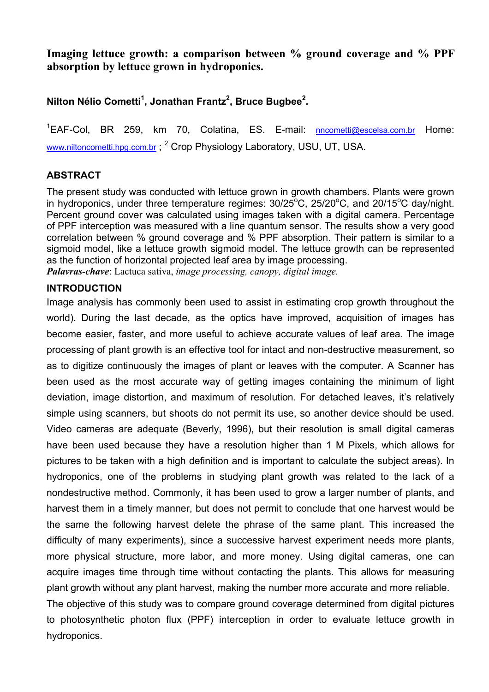**Imaging lettuce growth: a comparison between % ground coverage and % PPF absorption by lettuce grown in hydroponics.** 

**Nilton Nélio Cometti<sup>1</sup>, Jonathan Frantz<sup>2</sup>, Bruce Bugbee<sup>2</sup>.** 

<sup>1</sup>EAF-Col, BR 259, km 70, Colatina, ES. E-mail: **nncometti@escelsa.com.br** Home: www.niltoncometti.hpg.com.br; <sup>2</sup> Crop Physiology Laboratory, USU, UT, USA.

# **ABSTRACT**

The present study was conducted with lettuce grown in growth chambers. Plants were grown in hydroponics, under three temperature regimes:  $30/25^{\circ}$ C,  $25/20^{\circ}$ C, and  $20/15^{\circ}$ C day/night. Percent ground cover was calculated using images taken with a digital camera. Percentage of PPF interception was measured with a line quantum sensor. The results show a very good correlation between % ground coverage and % PPF absorption. Their pattern is similar to a sigmoid model, like a lettuce growth sigmoid model. The lettuce growth can be represented as the function of horizontal projected leaf area by image processing. *Palavras-chave*: Lactuca sativa, *image processing, canopy, digital image.*

## **INTRODUCTION**

Image analysis has commonly been used to assist in estimating crop growth throughout the world). During the last decade, as the optics have improved, acquisition of images has become easier, faster, and more useful to achieve accurate values of leaf area. The image processing of plant growth is an effective tool for intact and non-destructive measurement, so as to digitize continuously the images of plant or leaves with the computer. A Scanner has been used as the most accurate way of getting images containing the minimum of light deviation, image distortion, and maximum of resolution. For detached leaves, it's relatively simple using scanners, but shoots do not permit its use, so another device should be used. Video cameras are adequate (Beverly, 1996), but their resolution is small digital cameras have been used because they have a resolution higher than 1 M Pixels, which allows for pictures to be taken with a high definition and is important to calculate the subject areas). In hydroponics, one of the problems in studying plant growth was related to the lack of a nondestructive method. Commonly, it has been used to grow a larger number of plants, and harvest them in a timely manner, but does not permit to conclude that one harvest would be the same the following harvest delete the phrase of the same plant. This increased the difficulty of many experiments), since a successive harvest experiment needs more plants, more physical structure, more labor, and more money. Using digital cameras, one can acquire images time through time without contacting the plants. This allows for measuring plant growth without any plant harvest, making the number more accurate and more reliable. The objective of this study was to compare ground coverage determined from digital pictures to photosynthetic photon flux (PPF) interception in order to evaluate lettuce growth in hydroponics.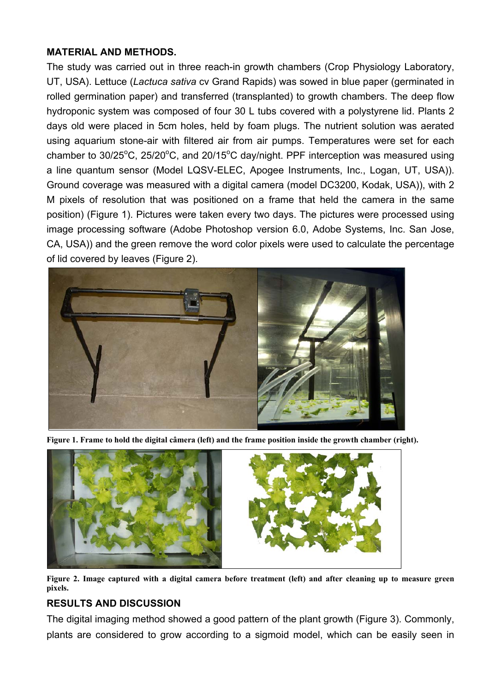### **MATERIAL AND METHODS.**

The study was carried out in three reach-in growth chambers (Crop Physiology Laboratory, UT, USA). Lettuce (*Lactuca sativa* cv Grand Rapids) was sowed in blue paper (germinated in rolled germination paper) and transferred (transplanted) to growth chambers. The deep flow hydroponic system was composed of four 30 L tubs covered with a polystyrene lid. Plants 2 days old were placed in 5cm holes, held by foam plugs. The nutrient solution was aerated using aquarium stone-air with filtered air from air pumps. Temperatures were set for each chamber to  $30/25^{\circ}$ C,  $25/20^{\circ}$ C, and  $20/15^{\circ}$ C day/night. PPF interception was measured using a line quantum sensor (Model LQSV-ELEC, Apogee Instruments, Inc., Logan, UT, USA)). Ground coverage was measured with a digital camera (model DC3200, Kodak, USA)), with 2 M pixels of resolution that was positioned on a frame that held the camera in the same position) (Figure 1). Pictures were taken every two days. The pictures were processed using image processing software (Adobe Photoshop version 6.0, Adobe Systems, Inc. San Jose, CA, USA)) and the green remove the word color pixels were used to calculate the percentage of lid covered by leaves (Figure 2).



**Figure 1. Frame to hold the digital câmera (left) and the frame position inside the growth chamber (right).** 



**Figure 2. Image captured with a digital camera before treatment (left) and after cleaning up to measure green pixels.** 

## **RESULTS AND DISCUSSION**

The digital imaging method showed a good pattern of the plant growth (Figure 3). Commonly, plants are considered to grow according to a sigmoid model, which can be easily seen in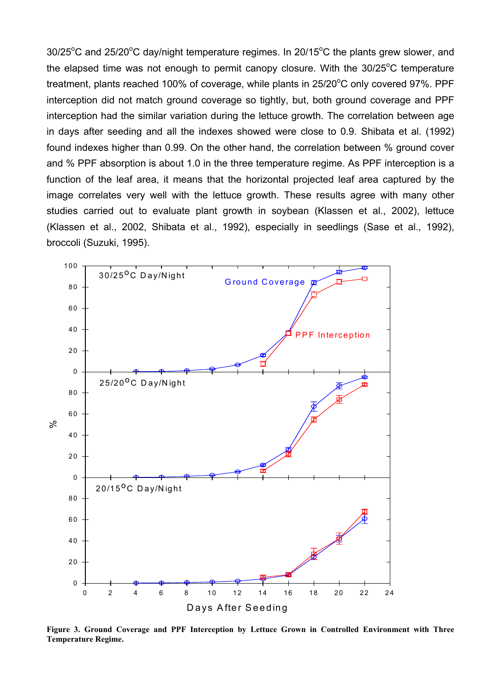$30/25^{\circ}$ C and  $25/20^{\circ}$ C day/night temperature regimes. In  $20/15^{\circ}$ C the plants grew slower, and the elapsed time was not enough to permit canopy closure. With the  $30/25^{\circ}$ C temperature treatment, plants reached 100% of coverage, while plants in 25/20°C only covered 97%. PPF interception did not match ground coverage so tightly, but, both ground coverage and PPF interception had the similar variation during the lettuce growth. The correlation between age in days after seeding and all the indexes showed were close to 0.9. Shibata et al. (1992) found indexes higher than 0.99. On the other hand, the correlation between % ground cover and % PPF absorption is about 1.0 in the three temperature regime. As PPF interception is a function of the leaf area, it means that the horizontal projected leaf area captured by the image correlates very well with the lettuce growth. These results agree with many other studies carried out to evaluate plant growth in soybean (Klassen et al., 2002), lettuce (Klassen et al., 2002, Shibata et al., 1992), especially in seedlings (Sase et al., 1992), broccoli (Suzuki, 1995).



**Figure 3. Ground Coverage and PPF Interception by Lettuce Grown in Controlled Environment with Three Temperature Regime.**